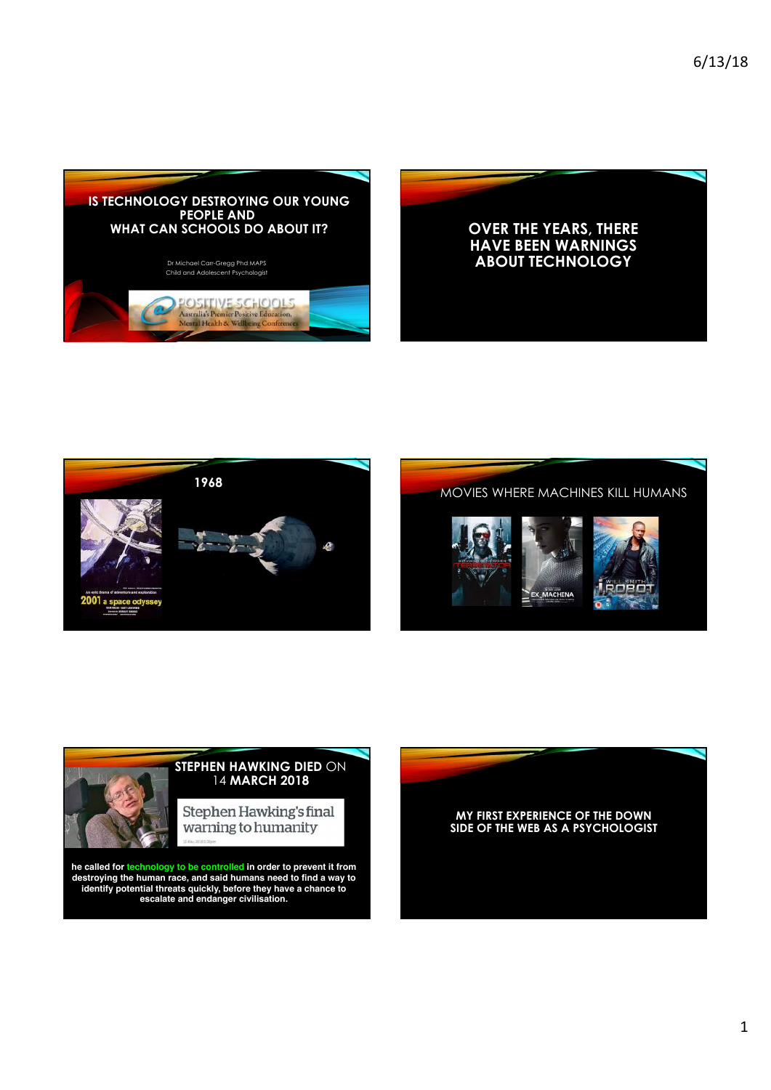









**he called for technology to be controlled in order to prevent it from destroying the human race, and said humans need to find a way to identify potential threats quickly, before they have a chance to escalate and endanger civilisation.**

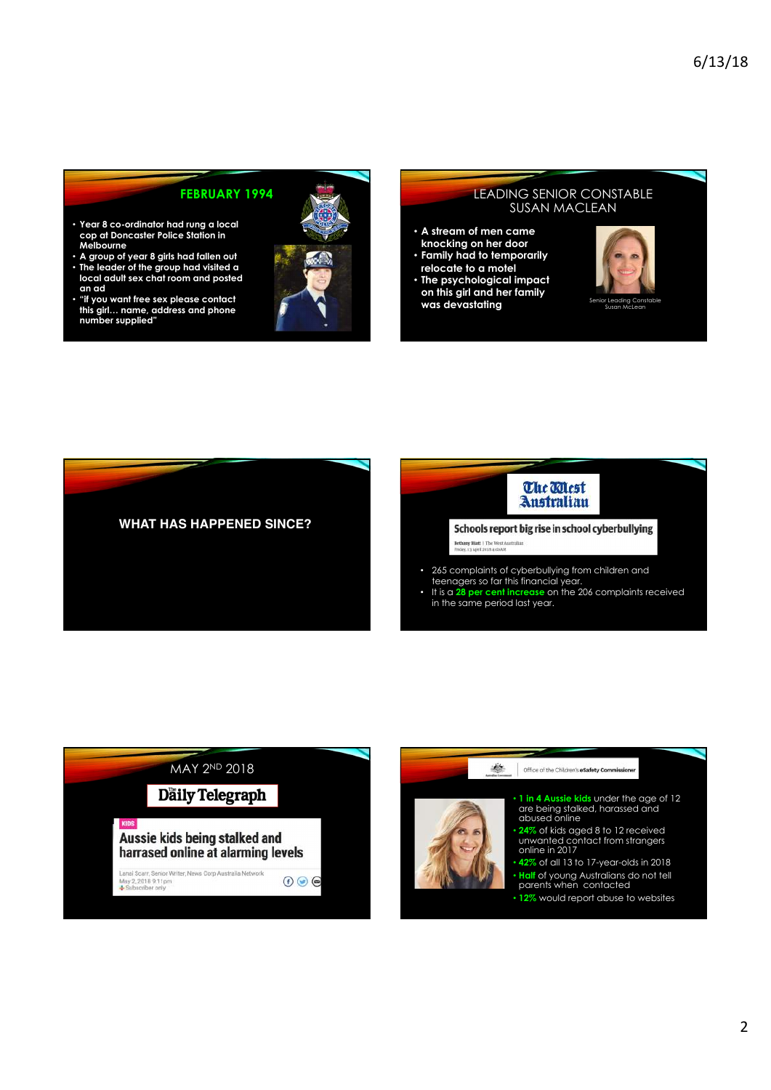### **FEBRUARY 1994**

- **Year 8 co-ordinator had rung a local cop at Doncaster Police Station in Melbourne**
- **A group of year 8 girls had fallen out** • **The leader of the group had visited a local adult sex chat room and posted an ad**
- **"if you want free sex please contact this girl… name, address and phone number supplied"**



#### LEADING SENIOR CONSTABLE SUSAN MACLEAN

- **A stream of men came knocking on her door** • **Family had to temporarily**
- **relocate to a motel**
- **The psychological impact on this girl and her family**  was devastating





The Mest **Australian** 

Schools report big rise in school cyberbullying Bethany Hiatt | The West  $\wedge$ 

- 265 complaints of cyberbullying from children and teenagers so far this financial year.
- It is a **28 per cent increase** on the 206 complaints received in the same period last year.



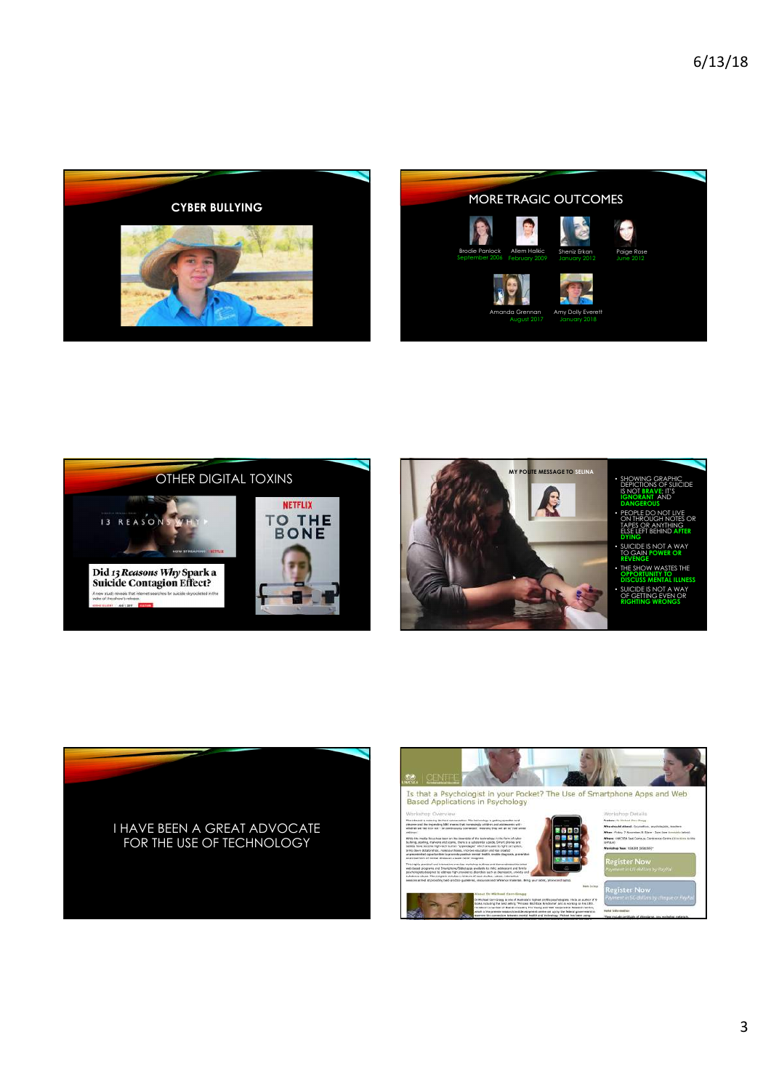









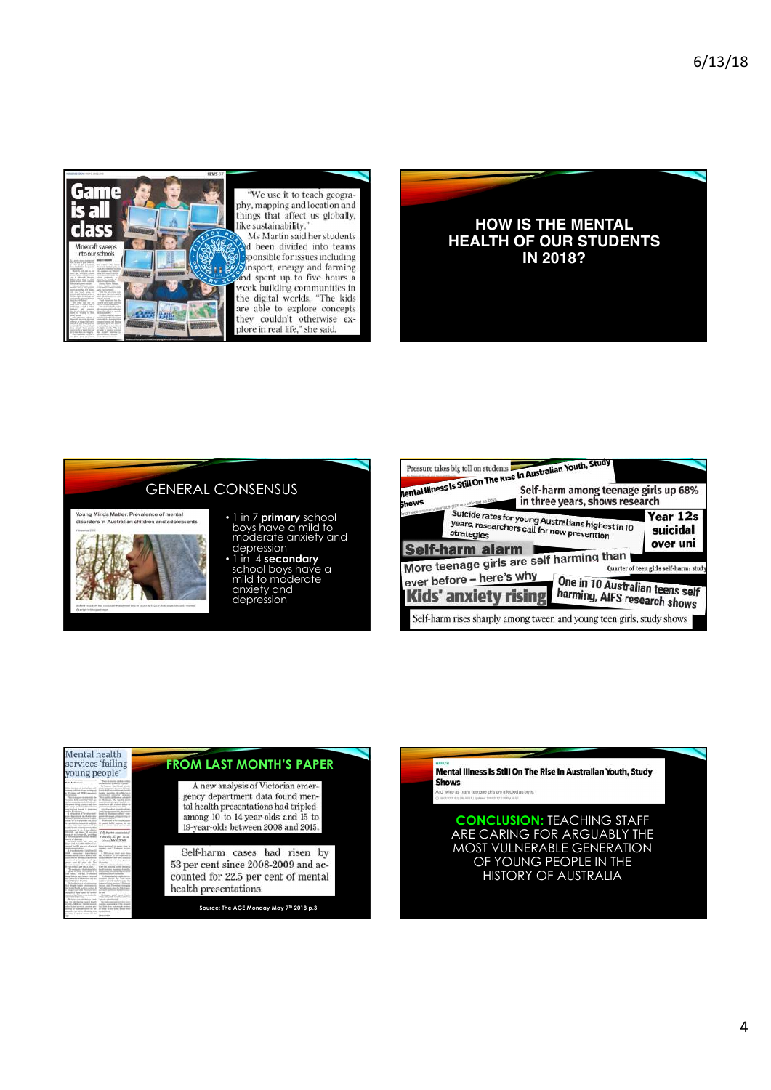

"We use it to teach geography, mapping and location and<br>things that affect us globally, like sustainability

Ms Martin said her students d been divided into teams sponsible for issues including ansport, energy and farming and spent up to five hours a week building communities in the digital worlds. "The kids<br>are able to explore concepts they couldn't otherwise ex-<br>plore in real life," she said.



# GENERAL CONSENSUS



- 1 in 7 **primary** school boys have a mild to moderate anxiety and depression
- 1 in 4 **secondary** school boys have a mild to moderate anxiety and depression

| <b>Aental Illness Is Still On The Rise In Australian Youth, Study</b><br>Shows                      | Self-harm among teenage girls up 68%<br>in three years, shows research                          |                                        |
|-----------------------------------------------------------------------------------------------------|-------------------------------------------------------------------------------------------------|----------------------------------------|
| <b>Self-harm alarm</b>                                                                              | Suicide rates for young Australians highest in 10<br>years, researchers call for new prevention | Year 12s<br>suicidal<br>over uni       |
| More teenage girls are self harming than<br>ever before - here's why<br><b>Kids' anxiety rising</b> | One in 10 Australian teens self<br>harming, AIFS research shows                                 | Quarter of teen girls self-harm; study |
|                                                                                                     | Self-harm rises sharply among tween and young teen girls, study shows                           |                                        |





**CONCLUSION:** TEACHING STAFF ARE CARING FOR ARGUABLY THE MOST VULNERABLE GENERATION OF YOUNG PEOPLE IN THE HISTORY OF AUSTRALIA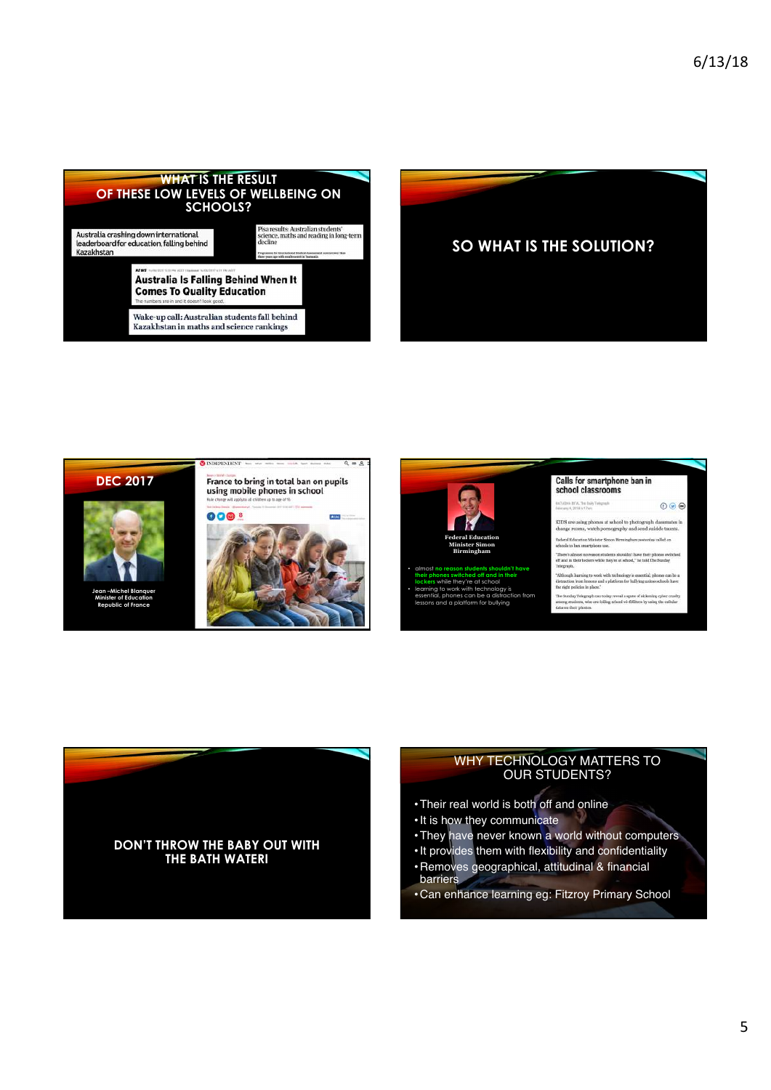







• learning to work with technology is essential, phones can be a distraction from lessons and a platform for bullying



 $0\,0\,0$ **BTA:TH Didy** KIDS are using phones at school to photograph cla

change rooms, watch pornography and send suicide taunts ister Simon/Rimsingham yestenlay called on



#### WHY TECHNOLOGY MATTERS TO OUR STUDENTS?

- •Their real world is both off and online
- •It is how they communicate
- •They have never known a world without computers
- •It provides them with flexibility and confidentiality
- Removes geographical, attitudinal & financial barriers
- Can enhance learning eg: Fitzroy Primary School